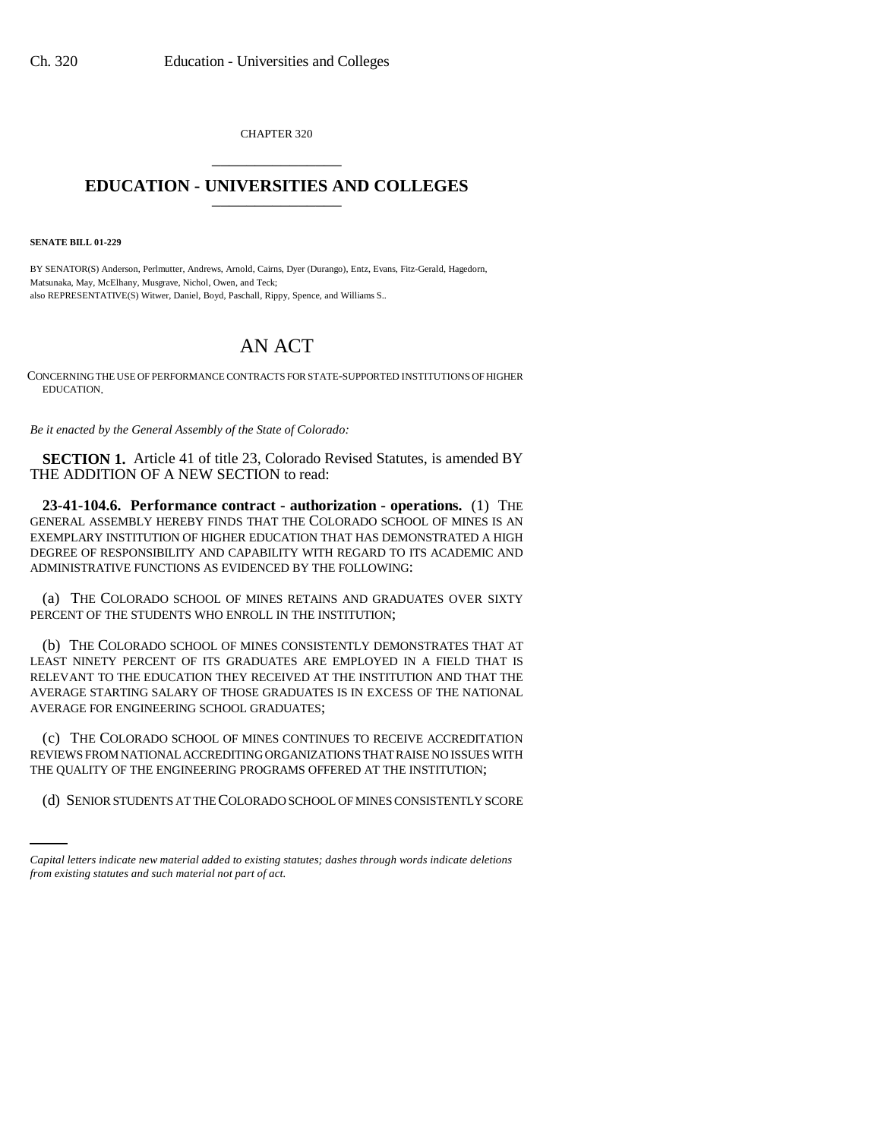CHAPTER 320 \_\_\_\_\_\_\_\_\_\_\_\_\_\_\_

## **EDUCATION - UNIVERSITIES AND COLLEGES** \_\_\_\_\_\_\_\_\_\_\_\_\_\_\_

**SENATE BILL 01-229**

BY SENATOR(S) Anderson, Perlmutter, Andrews, Arnold, Cairns, Dyer (Durango), Entz, Evans, Fitz-Gerald, Hagedorn, Matsunaka, May, McElhany, Musgrave, Nichol, Owen, and Teck; also REPRESENTATIVE(S) Witwer, Daniel, Boyd, Paschall, Rippy, Spence, and Williams S..

## AN ACT

CONCERNING THE USE OF PERFORMANCE CONTRACTS FOR STATE-SUPPORTED INSTITUTIONS OF HIGHER EDUCATION.

*Be it enacted by the General Assembly of the State of Colorado:*

**SECTION 1.** Article 41 of title 23, Colorado Revised Statutes, is amended BY THE ADDITION OF A NEW SECTION to read:

**23-41-104.6. Performance contract - authorization - operations.** (1) THE GENERAL ASSEMBLY HEREBY FINDS THAT THE COLORADO SCHOOL OF MINES IS AN EXEMPLARY INSTITUTION OF HIGHER EDUCATION THAT HAS DEMONSTRATED A HIGH DEGREE OF RESPONSIBILITY AND CAPABILITY WITH REGARD TO ITS ACADEMIC AND ADMINISTRATIVE FUNCTIONS AS EVIDENCED BY THE FOLLOWING:

(a) THE COLORADO SCHOOL OF MINES RETAINS AND GRADUATES OVER SIXTY PERCENT OF THE STUDENTS WHO ENROLL IN THE INSTITUTION;

(b) THE COLORADO SCHOOL OF MINES CONSISTENTLY DEMONSTRATES THAT AT LEAST NINETY PERCENT OF ITS GRADUATES ARE EMPLOYED IN A FIELD THAT IS RELEVANT TO THE EDUCATION THEY RECEIVED AT THE INSTITUTION AND THAT THE AVERAGE STARTING SALARY OF THOSE GRADUATES IS IN EXCESS OF THE NATIONAL AVERAGE FOR ENGINEERING SCHOOL GRADUATES;

THE QUALITY OF THE ENGINEERING PROGRAMS OFFERED AT THE INSTITUTION; (c) THE COLORADO SCHOOL OF MINES CONTINUES TO RECEIVE ACCREDITATION REVIEWS FROM NATIONAL ACCREDITING ORGANIZATIONS THAT RAISE NO ISSUES WITH

(d) SENIOR STUDENTS AT THE COLORADO SCHOOL OF MINES CONSISTENTLY SCORE

*Capital letters indicate new material added to existing statutes; dashes through words indicate deletions from existing statutes and such material not part of act.*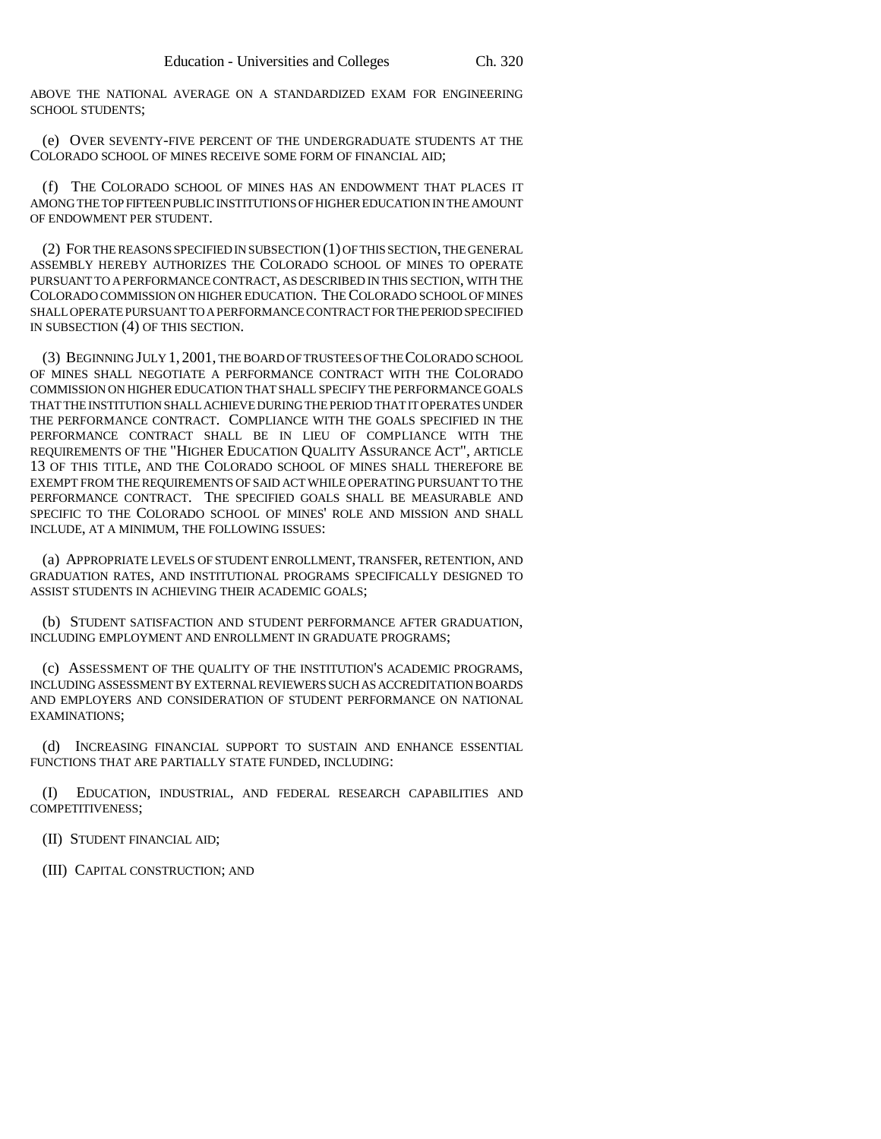ABOVE THE NATIONAL AVERAGE ON A STANDARDIZED EXAM FOR ENGINEERING SCHOOL STUDENTS;

(e) OVER SEVENTY-FIVE PERCENT OF THE UNDERGRADUATE STUDENTS AT THE COLORADO SCHOOL OF MINES RECEIVE SOME FORM OF FINANCIAL AID;

(f) THE COLORADO SCHOOL OF MINES HAS AN ENDOWMENT THAT PLACES IT AMONG THE TOP FIFTEEN PUBLIC INSTITUTIONS OF HIGHER EDUCATION IN THE AMOUNT OF ENDOWMENT PER STUDENT.

(2) FOR THE REASONS SPECIFIED IN SUBSECTION (1) OF THIS SECTION, THE GENERAL ASSEMBLY HEREBY AUTHORIZES THE COLORADO SCHOOL OF MINES TO OPERATE PURSUANT TO A PERFORMANCE CONTRACT, AS DESCRIBED IN THIS SECTION, WITH THE COLORADO COMMISSION ON HIGHER EDUCATION. THE COLORADO SCHOOL OF MINES SHALL OPERATE PURSUANT TO A PERFORMANCE CONTRACT FOR THE PERIOD SPECIFIED IN SUBSECTION (4) OF THIS SECTION.

(3) BEGINNING JULY 1, 2001, THE BOARD OF TRUSTEES OF THE COLORADO SCHOOL OF MINES SHALL NEGOTIATE A PERFORMANCE CONTRACT WITH THE COLORADO COMMISSION ON HIGHER EDUCATION THAT SHALL SPECIFY THE PERFORMANCE GOALS THAT THE INSTITUTION SHALL ACHIEVE DURING THE PERIOD THAT IT OPERATES UNDER THE PERFORMANCE CONTRACT. COMPLIANCE WITH THE GOALS SPECIFIED IN THE PERFORMANCE CONTRACT SHALL BE IN LIEU OF COMPLIANCE WITH THE REQUIREMENTS OF THE "HIGHER EDUCATION QUALITY ASSURANCE ACT", ARTICLE 13 OF THIS TITLE, AND THE COLORADO SCHOOL OF MINES SHALL THEREFORE BE EXEMPT FROM THE REQUIREMENTS OF SAID ACT WHILE OPERATING PURSUANT TO THE PERFORMANCE CONTRACT. THE SPECIFIED GOALS SHALL BE MEASURABLE AND SPECIFIC TO THE COLORADO SCHOOL OF MINES' ROLE AND MISSION AND SHALL INCLUDE, AT A MINIMUM, THE FOLLOWING ISSUES:

(a) APPROPRIATE LEVELS OF STUDENT ENROLLMENT, TRANSFER, RETENTION, AND GRADUATION RATES, AND INSTITUTIONAL PROGRAMS SPECIFICALLY DESIGNED TO ASSIST STUDENTS IN ACHIEVING THEIR ACADEMIC GOALS;

(b) STUDENT SATISFACTION AND STUDENT PERFORMANCE AFTER GRADUATION, INCLUDING EMPLOYMENT AND ENROLLMENT IN GRADUATE PROGRAMS;

(c) ASSESSMENT OF THE QUALITY OF THE INSTITUTION'S ACADEMIC PROGRAMS, INCLUDING ASSESSMENT BY EXTERNAL REVIEWERS SUCH AS ACCREDITATION BOARDS AND EMPLOYERS AND CONSIDERATION OF STUDENT PERFORMANCE ON NATIONAL EXAMINATIONS;

(d) INCREASING FINANCIAL SUPPORT TO SUSTAIN AND ENHANCE ESSENTIAL FUNCTIONS THAT ARE PARTIALLY STATE FUNDED, INCLUDING:

(I) EDUCATION, INDUSTRIAL, AND FEDERAL RESEARCH CAPABILITIES AND COMPETITIVENESS;

(II) STUDENT FINANCIAL AID;

(III) CAPITAL CONSTRUCTION; AND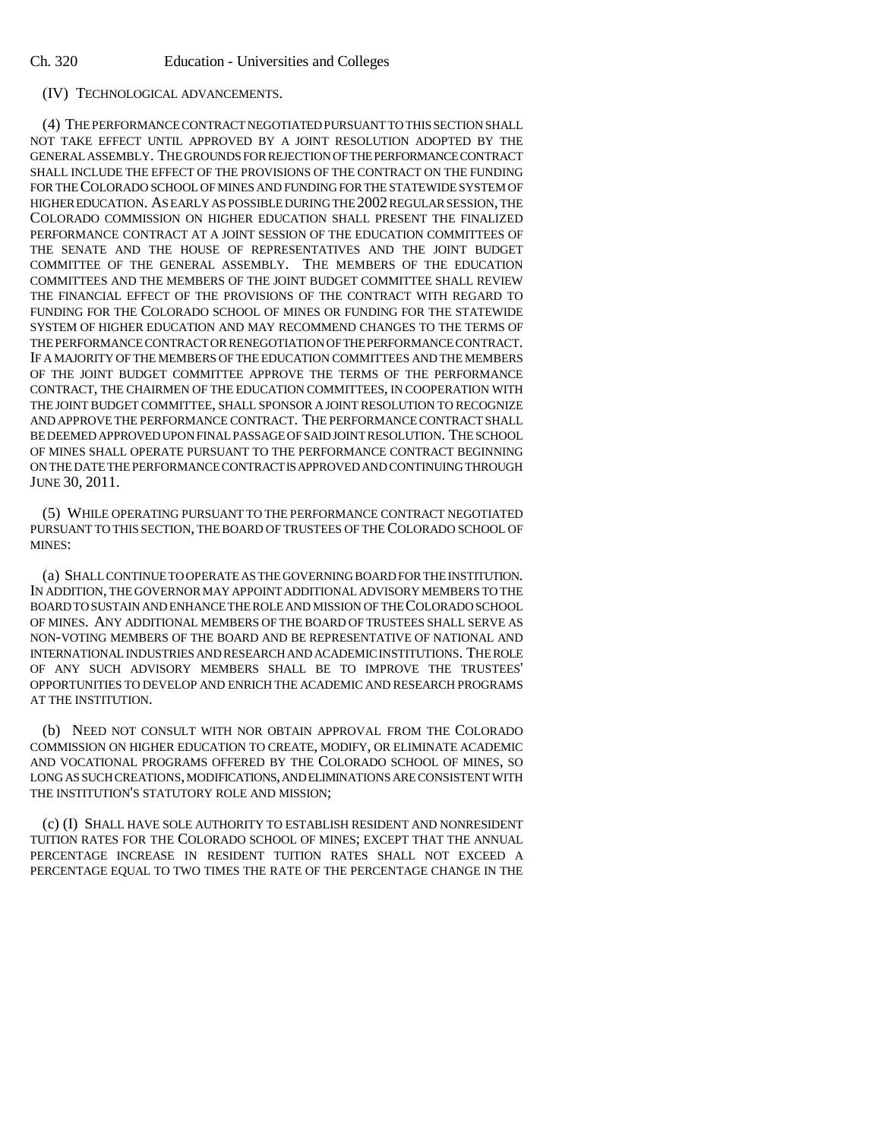## (IV) TECHNOLOGICAL ADVANCEMENTS.

(4) THE PERFORMANCE CONTRACT NEGOTIATED PURSUANT TO THIS SECTION SHALL NOT TAKE EFFECT UNTIL APPROVED BY A JOINT RESOLUTION ADOPTED BY THE GENERAL ASSEMBLY. THE GROUNDS FOR REJECTION OF THE PERFORMANCE CONTRACT SHALL INCLUDE THE EFFECT OF THE PROVISIONS OF THE CONTRACT ON THE FUNDING FOR THE COLORADO SCHOOL OF MINES AND FUNDING FOR THE STATEWIDE SYSTEM OF HIGHER EDUCATION. AS EARLY AS POSSIBLE DURING THE 2002 REGULAR SESSION, THE COLORADO COMMISSION ON HIGHER EDUCATION SHALL PRESENT THE FINALIZED PERFORMANCE CONTRACT AT A JOINT SESSION OF THE EDUCATION COMMITTEES OF THE SENATE AND THE HOUSE OF REPRESENTATIVES AND THE JOINT BUDGET COMMITTEE OF THE GENERAL ASSEMBLY. THE MEMBERS OF THE EDUCATION COMMITTEES AND THE MEMBERS OF THE JOINT BUDGET COMMITTEE SHALL REVIEW THE FINANCIAL EFFECT OF THE PROVISIONS OF THE CONTRACT WITH REGARD TO FUNDING FOR THE COLORADO SCHOOL OF MINES OR FUNDING FOR THE STATEWIDE SYSTEM OF HIGHER EDUCATION AND MAY RECOMMEND CHANGES TO THE TERMS OF THE PERFORMANCE CONTRACT OR RENEGOTIATION OF THE PERFORMANCE CONTRACT. IF A MAJORITY OF THE MEMBERS OF THE EDUCATION COMMITTEES AND THE MEMBERS OF THE JOINT BUDGET COMMITTEE APPROVE THE TERMS OF THE PERFORMANCE CONTRACT, THE CHAIRMEN OF THE EDUCATION COMMITTEES, IN COOPERATION WITH THE JOINT BUDGET COMMITTEE, SHALL SPONSOR A JOINT RESOLUTION TO RECOGNIZE AND APPROVE THE PERFORMANCE CONTRACT. THE PERFORMANCE CONTRACT SHALL BE DEEMED APPROVED UPON FINAL PASSAGE OF SAID JOINT RESOLUTION. THE SCHOOL OF MINES SHALL OPERATE PURSUANT TO THE PERFORMANCE CONTRACT BEGINNING ON THE DATE THE PERFORMANCE CONTRACT IS APPROVED AND CONTINUING THROUGH JUNE 30, 2011.

(5) WHILE OPERATING PURSUANT TO THE PERFORMANCE CONTRACT NEGOTIATED PURSUANT TO THIS SECTION, THE BOARD OF TRUSTEES OF THE COLORADO SCHOOL OF MINES:

(a) SHALL CONTINUE TO OPERATE AS THE GOVERNING BOARD FOR THE INSTITUTION. IN ADDITION, THE GOVERNOR MAY APPOINT ADDITIONAL ADVISORY MEMBERS TO THE BOARD TO SUSTAIN AND ENHANCE THE ROLE AND MISSION OF THE COLORADO SCHOOL OF MINES. ANY ADDITIONAL MEMBERS OF THE BOARD OF TRUSTEES SHALL SERVE AS NON-VOTING MEMBERS OF THE BOARD AND BE REPRESENTATIVE OF NATIONAL AND INTERNATIONAL INDUSTRIES AND RESEARCH AND ACADEMIC INSTITUTIONS. THE ROLE OF ANY SUCH ADVISORY MEMBERS SHALL BE TO IMPROVE THE TRUSTEES' OPPORTUNITIES TO DEVELOP AND ENRICH THE ACADEMIC AND RESEARCH PROGRAMS AT THE INSTITUTION.

(b) NEED NOT CONSULT WITH NOR OBTAIN APPROVAL FROM THE COLORADO COMMISSION ON HIGHER EDUCATION TO CREATE, MODIFY, OR ELIMINATE ACADEMIC AND VOCATIONAL PROGRAMS OFFERED BY THE COLORADO SCHOOL OF MINES, SO LONG AS SUCH CREATIONS, MODIFICATIONS, AND ELIMINATIONS ARE CONSISTENT WITH THE INSTITUTION'S STATUTORY ROLE AND MISSION;

(c) (I) SHALL HAVE SOLE AUTHORITY TO ESTABLISH RESIDENT AND NONRESIDENT TUITION RATES FOR THE COLORADO SCHOOL OF MINES; EXCEPT THAT THE ANNUAL PERCENTAGE INCREASE IN RESIDENT TUITION RATES SHALL NOT EXCEED A PERCENTAGE EQUAL TO TWO TIMES THE RATE OF THE PERCENTAGE CHANGE IN THE